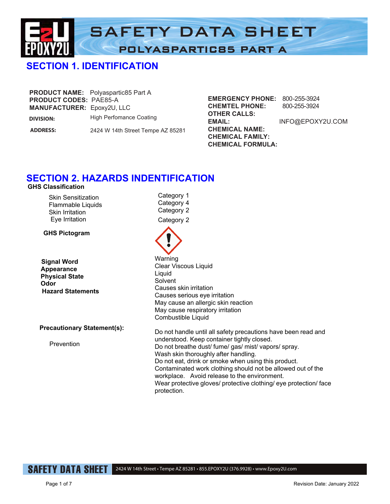

Category 1 Category 4

Category 2 Category 2

# **SECTION 1. IDENTIFICATION**

|                                   | <b>PRODUCT NAME:</b> Polyaspartic85 Part A |
|-----------------------------------|--------------------------------------------|
| <b>PRODUCT CODES: PAE85-A</b>     |                                            |
| <b>MANUFACTURER: Epoxy2U, LLC</b> |                                            |
| <b>DIVISION:</b>                  | <b>High Perfomance Coating</b>             |

**ADDRESS:** 2424 W 14th Street Tempe AZ 85281 **EMERGENCY PHONE:** 800-255-3924 **CHEMTEL PHONE:** 800-255-3924 **OTHER CALLS: EMAIL:** INFO@EPOXY2U.COM **CHEMICAL NAME: CHEMICAL FAMILY: CHEMICAL FORMULA:**

#### **SECTION 2. HAZARDS INDENTIFICATION GHS Classification**

Skin Sensitization Flammable Liquids Skin Irritation

 Eye Irritation **GHS Pictogram**

**Signal Word Appearance Physical State Odor Hazard Statements**

**Precautionary Statement(s):** 

Prevention

Warning Clear Viscous Liquid Liquid **Solvent** Causes skin irritation Causes serious eye irritation May cause an allergic skin reaction May cause respiratory irritation Combustible Liquid Do not handle until all safety precautions have been read and understood. Keep container tightly closed. Do not breathe dust/ fume/ gas/ mist/ vapors/ spray. Wash skin thoroughly after handling. Do not eat, drink or smoke when using this product.

Contaminated work clothing should not be allowed out of the workplace. Avoid release to the environment.

Wear protective gloves/ protective clothing/ eye protection/ face protection.

SAFETY DATA SHEET

2424 W 14th Street • Tempe AZ 85281 • 855.EPOXY2U (376.9928) • www.Epoxy2U.com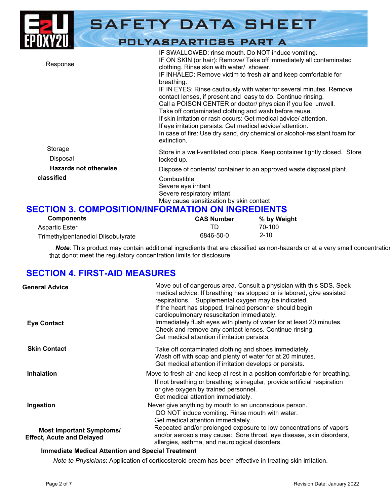|                              | <b>SAFETY DATA SHEET</b>                                                                                                                                                                                                                                                                                                                                                                                                                                                                                                                                                                                                                                                                                                                             |
|------------------------------|------------------------------------------------------------------------------------------------------------------------------------------------------------------------------------------------------------------------------------------------------------------------------------------------------------------------------------------------------------------------------------------------------------------------------------------------------------------------------------------------------------------------------------------------------------------------------------------------------------------------------------------------------------------------------------------------------------------------------------------------------|
|                              | <b>POLYASPARTIC85 PART A</b>                                                                                                                                                                                                                                                                                                                                                                                                                                                                                                                                                                                                                                                                                                                         |
| Response                     | IF SWALLOWED: rinse mouth. Do NOT induce vomiting.<br>IF ON SKIN (or hair): Remove/ Take off immediately all contaminated<br>clothing. Rinse skin with water/ shower.<br>IF INHALED: Remove victim to fresh air and keep comfortable for<br>breathing.<br>IF IN EYES: Rinse cautiously with water for several minutes. Remove<br>contact lenses, if present and easy to do. Continue rinsing.<br>Call a POISON CENTER or doctor/ physician if you feel unwell.<br>Take off contaminated clothing and wash before reuse.<br>If skin irritation or rash occurs: Get medical advice/attention.<br>If eye irritation persists: Get medical advice/attention.<br>In case of fire: Use dry sand, dry chemical or alcohol-resistant foam for<br>extinction. |
| Storage<br>Disposal          | Store in a well-ventilated cool place. Keep container tightly closed. Store<br>locked up.                                                                                                                                                                                                                                                                                                                                                                                                                                                                                                                                                                                                                                                            |
| <b>Hazards not otherwise</b> | Dispose of contents/ container to an approved waste disposal plant.                                                                                                                                                                                                                                                                                                                                                                                                                                                                                                                                                                                                                                                                                  |
| classified                   | Combustible<br>Severe eye irritant<br>Severe respiratory irritant<br>May cause sensitization by skin contact                                                                                                                                                                                                                                                                                                                                                                                                                                                                                                                                                                                                                                         |

# **SECTION 3. COMPOSITION/INFORMATION ON INGREDIENTS**

| <b>Components</b>                  | <b>CAS Number</b> | % by Weight |
|------------------------------------|-------------------|-------------|
| <b>Aspartic Ester</b>              | TD.               | 70-100      |
| Trimethylpentanediol Diisobutyrate | 6846-50-0         | $2 - 10$    |

*Note*: This product may contain additional ingredients that are classified as non-hazards or at a very small concentration that do not meet the regulatory concentration limits for disclosure.

# **SECTION 4. FIRST-AID MEASURES**

| <b>General Advice</b>                                               | Move out of dangerous area. Consult a physician with this SDS. Seek<br>medical advice. If breathing has stopped or is labored, give assisted<br>respirations. Supplemental oxygen may be indicated.<br>If the heart has stopped, trained personnel should begin<br>cardiopulmonary resuscitation immediately. |
|---------------------------------------------------------------------|---------------------------------------------------------------------------------------------------------------------------------------------------------------------------------------------------------------------------------------------------------------------------------------------------------------|
| <b>Eye Contact</b>                                                  | Immediately flush eyes with plenty of water for at least 20 minutes.<br>Check and remove any contact lenses. Continue rinsing.<br>Get medical attention if irritation persists.                                                                                                                               |
| <b>Skin Contact</b>                                                 | Take off contaminated clothing and shoes immediately.<br>Wash off with soap and plenty of water for at 20 minutes.<br>Get medical attention if irritation develops or persists.                                                                                                                               |
| <b>Inhalation</b>                                                   | Move to fresh air and keep at rest in a position comfortable for breathing.<br>If not breathing or breathing is irregular, provide artificial respiration<br>or give oxygen by trained personnel.<br>Get medical attention immediately.                                                                       |
| Ingestion                                                           | Never give anything by mouth to an unconscious person.<br>DO NOT induce vomiting. Rinse mouth with water.<br>Get medical attention immediately.                                                                                                                                                               |
| <b>Most Important Symptoms/</b><br><b>Effect, Acute and Delayed</b> | Repeated and/or prolonged exposure to low concentrations of vapors<br>and/or aerosols may cause: Sore throat, eye disease, skin disorders,<br>allergies, asthma, and neurological disorders.                                                                                                                  |

#### **Immediate Medical Attention and Special Treatment**

*Note to Physicians*: Application of corticosteroid cream has been effective in treating skin irritation.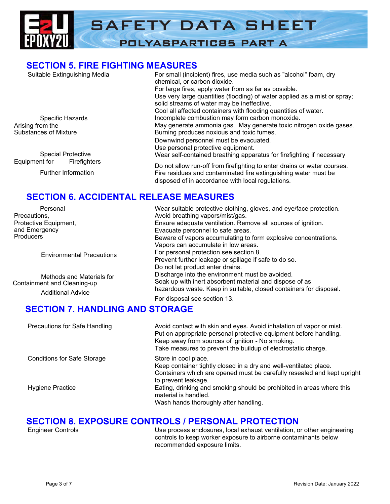

## **SECTION 5. FIRE FIGHTING MEASURES**

| Suitable Extinguishing Media                     | For small (incipient) fires, use media such as "alcohol" foam, dry<br>chemical, or carbon dioxide.                      |
|--------------------------------------------------|-------------------------------------------------------------------------------------------------------------------------|
|                                                  | For large fires, apply water from as far as possible.                                                                   |
|                                                  | Use very large quantities (flooding) of water applied as a mist or spray;<br>solid streams of water may be ineffective. |
|                                                  | Cool all affected containers with flooding quantities of water.                                                         |
| Specific Hazards                                 | Incomplete combustion may form carbon monoxide.                                                                         |
| Arising from the<br><b>Substances of Mixture</b> | May generate ammonia gas. May generate toxic nitrogen oxide gases.<br>Burning produces noxious and toxic fumes.         |
|                                                  | Downwind personnel must be evacuated.                                                                                   |
|                                                  | Use personal protective equipment.                                                                                      |
| <b>Special Protective</b>                        | Wear self-contained breathing apparatus for firefighting if necessary                                                   |
| Equipment for<br><b>Firefighters</b>             | Do not allow run-off from firefighting to enter drains or water courses.                                                |

Further Information

Fire residues and contaminated fire extinguishing water must be disposed of in accordance with local regulations.

# **SECTION 6. ACCIDENTAL RELEASE MEASURES**

| Personal                         | Wear suitable protective clothing, gloves, and eye/face protection. |  |
|----------------------------------|---------------------------------------------------------------------|--|
| Precautions,                     | Avoid breathing vapors/mist/gas.                                    |  |
| Protective Equipment,            | Ensure adequate ventilation. Remove all sources of ignition.        |  |
| and Emergency                    | Evacuate personnel to safe areas.                                   |  |
| <b>Producers</b>                 | Beware of vapors accumulating to form explosive concentrations.     |  |
|                                  | Vapors can accumulate in low areas.                                 |  |
| <b>Environmental Precautions</b> | For personal protection see section 8.                              |  |
|                                  | Prevent further leakage or spillage if safe to do so.               |  |
|                                  | Do not let product enter drains.                                    |  |
| Methods and Materials for        | Discharge into the environment must be avoided.                     |  |
| Containment and Cleaning-up      | Soak up with inert absorbent material and dispose of as             |  |
| <b>Additional Advice</b>         | hazardous waste. Keep in suitable, closed containers for disposal.  |  |
|                                  | For disposal see section 13.                                        |  |

# **SECTION 7. HANDLING AND STORAGE**

| Precautions for Safe Handling      | Avoid contact with skin and eyes. Avoid inhalation of vapor or mist.<br>Put on appropriate personal protective equipment before handling.<br>Keep away from sources of ignition - No smoking.<br>Take measures to prevent the buildup of electrostatic charge. |
|------------------------------------|----------------------------------------------------------------------------------------------------------------------------------------------------------------------------------------------------------------------------------------------------------------|
| <b>Conditions for Safe Storage</b> | Store in cool place.<br>Keep container tightly closed in a dry and well-ventilated place.<br>Containers which are opened must be carefully resealed and kept upright<br>to prevent leakage.                                                                    |
| Hygiene Practice                   | Eating, drinking and smoking should be prohibited in areas where this<br>material is handled.<br>Wash hands thoroughly after handling.                                                                                                                         |

# **SECTION 8. EXPOSURE CONTROLS / PERSONAL PROTECTION**<br>Use process enclosures, local exhaust ventilation, one

Use process enclosures, local exhaust ventilation, or other engineering controls to keep worker exposure to airborne contaminants below recommended exposure limits.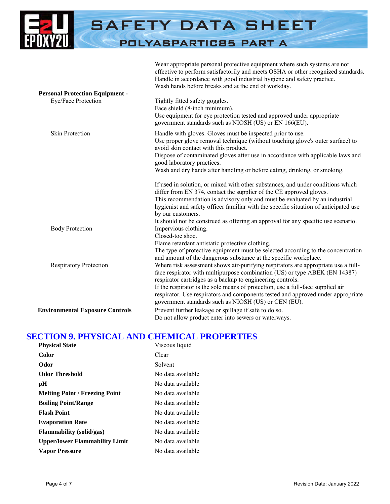

|                                        | effective to perform satisfactorily and meets OSHA or other recognized standards.<br>Handle in accordance with good industrial hygiene and safety practice.<br>Wash hands before breaks and at the end of workday.                                                                                                                                                                                                                                           |
|----------------------------------------|--------------------------------------------------------------------------------------------------------------------------------------------------------------------------------------------------------------------------------------------------------------------------------------------------------------------------------------------------------------------------------------------------------------------------------------------------------------|
| <b>Personal Protection Equipment -</b> |                                                                                                                                                                                                                                                                                                                                                                                                                                                              |
| Eye/Face Protection                    | Tightly fitted safety goggles.<br>Face shield (8-inch minimum).<br>Use equipment for eye protection tested and approved under appropriate<br>government standards such as NIOSH (US) or EN 166(EU).                                                                                                                                                                                                                                                          |
| <b>Skin Protection</b>                 | Handle with gloves. Gloves must be inspected prior to use.<br>Use proper glove removal technique (without touching glove's outer surface) to<br>avoid skin contact with this product.<br>Dispose of contaminated gloves after use in accordance with applicable laws and<br>good laboratory practices.<br>Wash and dry hands after handling or before eating, drinking, or smoking.                                                                          |
|                                        | If used in solution, or mixed with other substances, and under conditions which<br>differ from EN 374, contact the supplier of the CE approved gloves.<br>This recommendation is advisory only and must be evaluated by an industrial<br>hygienist and safety officer familiar with the specific situation of anticipated use<br>by our customers.<br>It should not be construed as offering an approval for any specific use scenario.                      |
| <b>Body Protection</b>                 | Impervious clothing.<br>Closed-toe shoe.<br>Flame retardant antistatic protective clothing.<br>The type of protective equipment must be selected according to the concentration<br>and amount of the dangerous substance at the specific workplace.                                                                                                                                                                                                          |
| <b>Respiratory Protection</b>          | Where risk assessment shows air-purifying respirators are appropriate use a full-<br>face respirator with multipurpose combination (US) or type ABEK (EN 14387)<br>respirator cartridges as a backup to engineering controls.<br>If the respirator is the sole means of protection, use a full-face supplied air<br>respirator. Use respirators and components tested and approved under appropriate<br>government standards such as NIOSH (US) or CEN (EU). |
| <b>Environmental Exposure Controls</b> | Prevent further leakage or spillage if safe to do so.<br>Do not allow product enter into sewers or waterways.                                                                                                                                                                                                                                                                                                                                                |

Wear appropriate personal protective equipment where such systems are not

## **SECTION 9. PHYSICAL AND CHEMICAL PROPERTIES**

| <b>Physical State</b>                 | Viscous liquid    |
|---------------------------------------|-------------------|
| Color                                 | Clear             |
| Odor                                  | Solvent           |
| <b>Odor Threshold</b>                 | No data available |
| рH                                    | No data available |
| <b>Melting Point / Freezing Point</b> | No data available |
| <b>Boiling Point/Range</b>            | No data available |
| <b>Flash Point</b>                    | No data available |
| <b>Evaporation Rate</b>               | No data available |
| <b>Flammability</b> (solid/gas)       | No data available |
| <b>Upper/lower Flammability Limit</b> | No data available |
| <b>Vapor Pressure</b>                 | No data available |
|                                       |                   |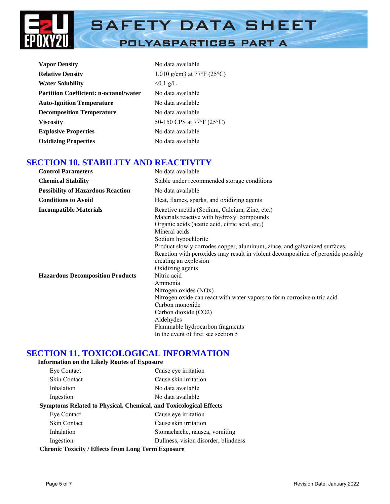

| <b>Vapor Density</b>                          | No data available          |
|-----------------------------------------------|----------------------------|
| <b>Relative Density</b>                       | 1.010 g/cm3 at 77°F (25°C) |
| <b>Water Solubility</b>                       | $< 0.1$ g/L                |
| <b>Partition Coefficient: n-octanol/water</b> | No data available          |
| <b>Auto-Ignition Temperature</b>              | No data available          |
| <b>Decomposition Temperature</b>              | No data available          |
| <b>Viscosity</b>                              | 50-150 CPS at 77°F (25°C)  |
| <b>Explosive Properties</b>                   | No data available          |
| <b>Oxidizing Properties</b>                   | No data available          |

## **SECTION 10. STABILITY AND REACTIVITY**

| <b>Control Parameters</b>                | No data available                                                                                                                                                                                                                                                                                                                                                                                   |
|------------------------------------------|-----------------------------------------------------------------------------------------------------------------------------------------------------------------------------------------------------------------------------------------------------------------------------------------------------------------------------------------------------------------------------------------------------|
| <b>Chemical Stability</b>                | Stable under recommended storage conditions                                                                                                                                                                                                                                                                                                                                                         |
| <b>Possibility of Hazardous Reaction</b> | No data available                                                                                                                                                                                                                                                                                                                                                                                   |
| <b>Conditions to Avoid</b>               | Heat, flames, sparks, and oxidizing agents                                                                                                                                                                                                                                                                                                                                                          |
| <b>Incompatible Materials</b>            | Reactive metals (Sodium, Calcium, Zinc, etc.)<br>Materials reactive with hydroxyl compounds<br>Organic acids (acetic acid, citric acid, etc.)<br>Mineral acids<br>Sodium hypochlorite<br>Product slowly corrodes copper, aluminum, zince, and galvanized surfaces.<br>Reaction with peroxides may result in violent decomposition of peroxide possibly<br>creating an explosion<br>Oxidizing agents |
| <b>Hazardous Decomposition Products</b>  | Nitric acid<br>Ammonia<br>Nitrogen oxides (NOx)<br>Nitrogen oxide can react with water vapors to form corrosive nitric acid<br>Carbon monoxide<br>Carbon dioxide (CO2)<br>Aldehydes<br>Flammable hydrocarbon fragments<br>In the event of fire: see section 5                                                                                                                                       |

## **SECTION 11. TOXICOLOGICAL INFORMATION**

#### **Information on the Likely Routes of Exposure**

| Eye Contact                                                       | Cause eye irritation                 |  |
|-------------------------------------------------------------------|--------------------------------------|--|
| <b>Skin Contact</b>                                               | Cause skin irritation                |  |
| Inhalation                                                        | No data available                    |  |
| Ingestion                                                         | No data available                    |  |
| Symptoms Related to Physical, Chemical, and Toxicological Effects |                                      |  |
| Eye Contact                                                       | Cause eye irritation                 |  |
| Skin Contact                                                      | Cause skin irritation                |  |
| Inhalation                                                        | Stomachache, nausea, vomiting        |  |
| Ingestion                                                         | Dullness, vision disorder, blindness |  |
| <b>Chronic Toxicity / Effects from Long Term Exposure</b>         |                                      |  |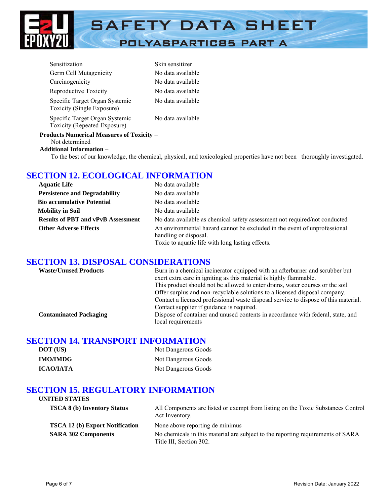

| Sensitization                                                      | Skin sensitizer   |
|--------------------------------------------------------------------|-------------------|
| Germ Cell Mutagenicity                                             | No data available |
| Carcinogenicity                                                    | No data available |
| Reproductive Toxicity                                              | No data available |
| Specific Target Organ Systemic<br>Toxicity (Single Exposure)       | No data available |
| Specific Target Organ Systemic<br>Toxicity (Repeated Exposure)     | No data available |
| <b>Products Numerical Measures of Toxicity –</b><br>Not determined |                   |

#### **Additional Information** –

To the best of our knowledge, the chemical, physical, and toxicological properties have not been thoroughly investigated.

## **SECTION 12. ECOLOGICAL INFORMATION**

| <b>Aquatic Life</b>                       | No data available                                                                                                                                      |
|-------------------------------------------|--------------------------------------------------------------------------------------------------------------------------------------------------------|
| <b>Persistence and Degradability</b>      | No data available                                                                                                                                      |
| <b>Bio accumulative Potential</b>         | No data available                                                                                                                                      |
| <b>Mobility in Soil</b>                   | No data available                                                                                                                                      |
| <b>Results of PBT and vPvB Assessment</b> | No data available as chemical safety assessment not required/not conducted                                                                             |
| <b>Other Adverse Effects</b>              | An environmental hazard cannot be excluded in the event of unprofessional<br>handling or disposal.<br>Toxic to aquatic life with long lasting effects. |

#### **SECTION 13. DISPOSAL CONSIDERATIONS**

| <b>Waste/Unused Products</b>  | Burn in a chemical incinerator equipped with an afterburner and scrubber but<br>exert extra care in igniting as this material is highly flammable.<br>This product should not be allowed to enter drains, water courses or the soil |
|-------------------------------|-------------------------------------------------------------------------------------------------------------------------------------------------------------------------------------------------------------------------------------|
|                               | Offer surplus and non-recyclable solutions to a licensed disposal company.<br>Contact a licensed professional waste disposal service to dispose of this material.<br>Contact supplier if guidance is required.                      |
| <b>Contaminated Packaging</b> | Dispose of container and unused contents in accordance with federal, state, and<br>local requirements                                                                                                                               |

#### **SECTION 14. TRANSPORT INFORMATION**

| DOT (US)         | Not Dangerous Goods |
|------------------|---------------------|
| <b>IMO/IMDG</b>  | Not Dangerous Goods |
| <b>ICAO/IATA</b> | Not Dangerous Goods |

## **SECTION 15. REGULATORY INFORMATION**

| <b>UNITED STATES</b>                   |                                                                                                            |
|----------------------------------------|------------------------------------------------------------------------------------------------------------|
| <b>TSCA 8 (b) Inventory Status</b>     | All Components are listed or exempt from listing on the Toxic Substances Control<br>Act Inventory.         |
| <b>TSCA 12 (b) Export Notification</b> | None above reporting de minimus                                                                            |
| <b>SARA 302 Components</b>             | No chemicals in this material are subject to the reporting requirements of SARA<br>Title III, Section 302. |